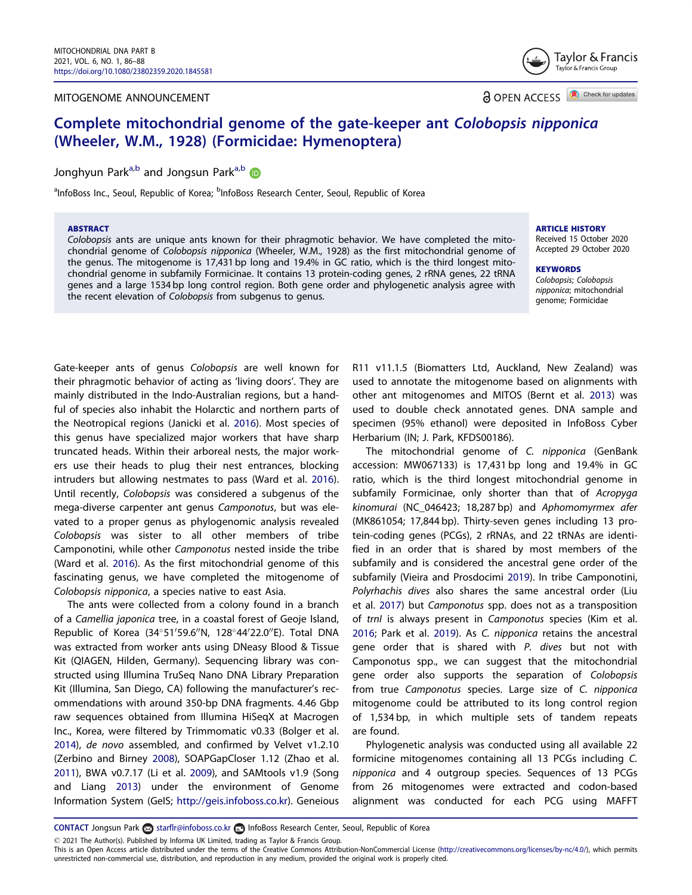#### <span id="page-0-0"></span>MITOGENOME ANNOUNCEMENT

Taylor & Francis Taylor & Francis Group

**a** OPEN ACCESS **D** Check for updates

# Complete mitochondrial genome of the gate-keeper ant Colobopsis nipponica (Wheeler, W.M., 1928) (Formicidae: Hymenoptera)

Jonghyun Park<sup>a,b</sup> and Jongsun Park<sup>a,b</sup> D

<sup>a</sup>InfoBoss Inc., Seoul, Republic of Korea; <sup>b</sup>InfoBoss Research Center, Seoul, Republic of Korea

### ABSTRACT

Colobopsis ants are unique ants known for their phragmotic behavior. We have completed the mitochondrial genome of Colobopsis nipponica (Wheeler, W.M., 1928) as the first mitochondrial genome of the genus. The mitogenome is 17,431 bp long and 19.4% in GC ratio, which is the third longest mitochondrial genome in subfamily Formicinae. It contains 13 protein-coding genes, 2 rRNA genes, 22 tRNA genes and a large 1534 bp long control region. Both gene order and phylogenetic analysis agree with the recent elevation of Colobopsis from subgenus to genus.

## ARTICLE HISTORY

Received 15 October 2020 Accepted 29 October 2020

**KEYWORDS** Colobopsis; Colobopsis nipponica; mitochondrial genome; Formicidae

Gate-keeper ants of genus Colobopsis are well known for their phragmotic behavior of acting as 'living doors'. They are mainly distributed in the Indo-Australian regions, but a handful of species also inhabit the Holarctic and northern parts of the Neotropical regions (Janicki et al. [2016\)](#page-2-0). Most species of this genus have specialized major workers that have sharp truncated heads. Within their arboreal nests, the major workers use their heads to plug their nest entrances, blocking intruders but allowing nestmates to pass (Ward et al. [2016](#page-2-0)). Until recently, Colobopsis was considered a subgenus of the mega-diverse carpenter ant genus Camponotus, but was elevated to a proper genus as phylogenomic analysis revealed Colobopsis was sister to all other members of tribe Camponotini, while other Camponotus nested inside the tribe (Ward et al. [2016](#page-2-0)). As the first mitochondrial genome of this fascinating genus, we have completed the mitogenome of Colobopsis nipponica, a species native to east Asia.

The ants were collected from a colony found in a branch of a Camellia japonica tree, in a coastal forest of Geoje Island, Republic of Korea (34°51'59.6"N, 128°44'22.0"E). Total DNA was extracted from worker ants using DNeasy Blood & Tissue Kit (QIAGEN, Hilden, Germany). Sequencing library was constructed using Illumina TruSeq Nano DNA Library Preparation Kit (Illumina, San Diego, CA) following the manufacturer's recommendations with around 350-bp DNA fragments. 4.46 Gbp raw sequences obtained from Illumina HiSeqX at Macrogen Inc., Korea, were filtered by Trimmomatic v0.33 (Bolger et al. [2014](#page-2-0)), de novo assembled, and confirmed by Velvet v1.2.10 (Zerbino and Birney [2008](#page-2-0)), SOAPGapCloser 1.12 (Zhao et al. [2011](#page-2-0)), BWA v0.7.17 (Li et al. [2009\)](#page-2-0), and SAMtools v1.9 (Song and Liang [2013](#page-2-0)) under the environment of Genome Information System (GeIS; [http://geis.infoboss.co.kr\)](http://geis.infoboss.co.kr). Geneious

R11 v11.1.5 (Biomatters Ltd, Auckland, New Zealand) was used to annotate the mitogenome based on alignments with other ant mitogenomes and MITOS (Bernt et al. [2013](#page-2-0)) was used to double check annotated genes. DNA sample and specimen (95% ethanol) were deposited in InfoBoss Cyber Herbarium (IN; J. Park, KFDS00186).

The mitochondrial genome of C. nipponica (GenBank accession: MW067133) is 17,431 bp long and 19.4% in GC ratio, which is the third longest mitochondrial genome in subfamily Formicinae, only shorter than that of Acropyga kinomurai (NC\_046423; 18,287 bp) and Aphomomyrmex afer (MK861054; 17,844 bp). Thirty-seven genes including 13 protein-coding genes (PCGs), 2 rRNAs, and 22 tRNAs are identified in an order that is shared by most members of the subfamily and is considered the ancestral gene order of the subfamily (Vieira and Prosdocimi [2019\)](#page-2-0). In tribe Camponotini, Polyrhachis dives also shares the same ancestral order (Liu et al. [2017](#page-2-0)) but Camponotus spp. does not as a transposition of trnI is always present in Camponotus species (Kim et al. [2016](#page-2-0); Park et al. [2019](#page-2-0)). As C. nipponica retains the ancestral gene order that is shared with P. dives but not with Camponotus spp., we can suggest that the mitochondrial gene order also supports the separation of Colobopsis from true Camponotus species. Large size of C. nipponica mitogenome could be attributed to its long control region of 1,534 bp, in which multiple sets of tandem repeats are found.

Phylogenetic analysis was conducted using all available 22 formicine mitogenomes containing all 13 PCGs including C. nipponica and 4 outgroup species. Sequences of 13 PCGs from 26 mitogenomes were extracted and codon-based alignment was conducted for each PCG using MAFFT

CONTACT Jongsun Park and starflr@infoboss.co.kr 1 InfoBoss Research Center, Seoul, Republic of Korea

2021 The Author(s). Published by Informa UK Limited, trading as Taylor & Francis Group.

This is an Open Access article distributed under the terms of the Creative Commons Attribution-NonCommercial License ([http://creativecommons.org/licenses/by-nc/4.0/\)](http://creativecommons.org/licenses/by-nc/4.0/), which permits unrestricted non-commercial use, distribution, and reproduction in any medium, provided the original work is properly cited.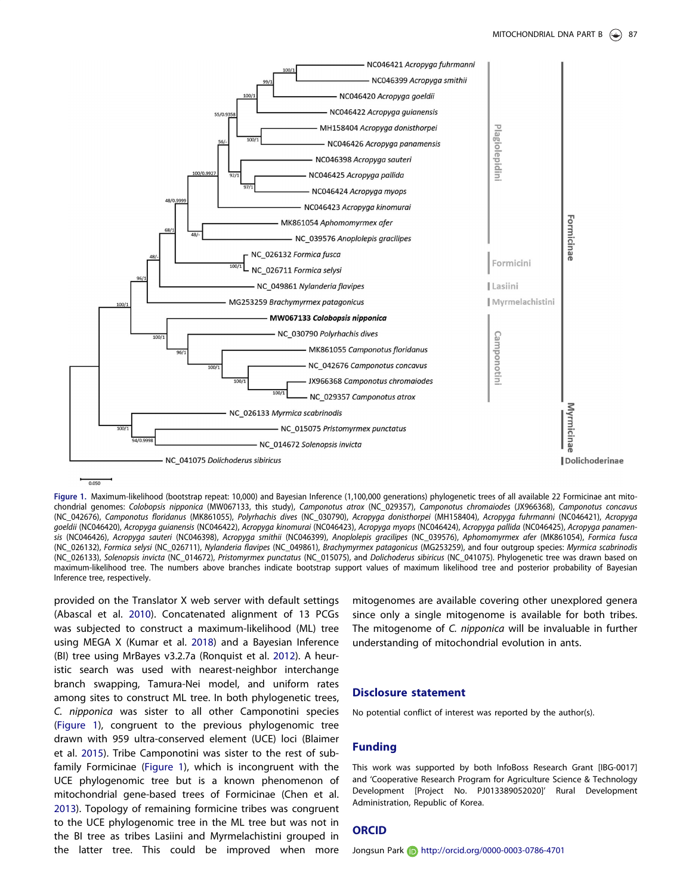<span id="page-1-0"></span>

 $0.05$ 

Figure 1. Maximum-likelihood (bootstrap repeat: 10,000) and Bayesian Inference (1,100,000 generations) phylogenetic trees of all available 22 Formicinae ant mitochondrial genomes: Colobopsis nipponica (MW067133, this study), Camponotus atrox (NC\_029357), Camponotus chromaiodes (JX966368), Camponotus concavus (NC\_042676), Camponotus floridanus (MK861055), Polyrhachis dives (NC\_030790), Acropyga donisthorpei (MH158404), Acropyga fuhrmanni (NC046421), Acropyga goeldii (NC046420), Acropyga guianensis (NC046422), Acropyga kinomurai (NC046423), Acropyga myops (NC046424), Acropyga pallida (NC046425), Acropyga panamensis (NC046426), Acropyga sauteri (NC046398), Acropyga smithii (NC046399), Anoplolepis gracilipes (NC\_039576), Aphomomyrmex afer (MK861054), Formica fusca (NC\_026132), Formica selysi (NC\_026711), Nylanderia flavipes (NC\_049861), Brachymyrmex patagonicus (MG253259), and four outgroup species: Myrmica scabrinodis (NC\_026133), Solenopsis invicta (NC\_014672), Pristomyrmex punctatus (NC\_015075), and Dolichoderus sibiricus (NC\_041075). Phylogenetic tree was drawn based on maximum-likelihood tree. The numbers above branches indicate bootstrap support values of maximum likelihood tree and posterior probability of Bayesian Inference tree, respectively.

provided on the Translator X web server with default settings (Abascal et al. [2010\)](#page-2-0). Concatenated alignment of 13 PCGs was subjected to construct a maximum-likelihood (ML) tree using MEGA X (Kumar et al. [2018\)](#page-2-0) and a Bayesian Inference (BI) tree using MrBayes v3.2.7a (Ronquist et al. [2012](#page-2-0)). A heuristic search was used with nearest-neighbor interchange branch swapping, Tamura-Nei model, and uniform rates among sites to construct ML tree. In both phylogenetic trees, C. nipponica was sister to all other Camponotini species (Figure 1), congruent to the previous phylogenomic tree drawn with 959 ultra-conserved element (UCE) loci (Blaimer et al. [2015\)](#page-2-0). Tribe Camponotini was sister to the rest of subfamily Formicinae (Figure 1), which is incongruent with the UCE phylogenomic tree but is a known phenomenon of mitochondrial gene-based trees of Formicinae (Chen et al. [2013](#page-2-0)). Topology of remaining formicine tribes was congruent to the UCE phylogenomic tree in the ML tree but was not in the BI tree as tribes Lasiini and Myrmelachistini grouped in the latter tree. This could be improved when more

mitogenomes are available covering other unexplored genera since only a single mitogenome is available for both tribes. The mitogenome of C. nipponica will be invaluable in further understanding of mitochondrial evolution in ants.

#### Disclosure statement

No potential conflict of interest was reported by the author(s).

#### Funding

This work was supported by both InfoBoss Research Grant [IBG-0017] and 'Cooperative Research Program for Agriculture Science & Technology Development [Project No. PJ013389052020]' Rural Development Administration, Republic of Korea.

#### **ORCID**

Jongsun Park **in** http://orcid.org/0000-0003-0786-4701